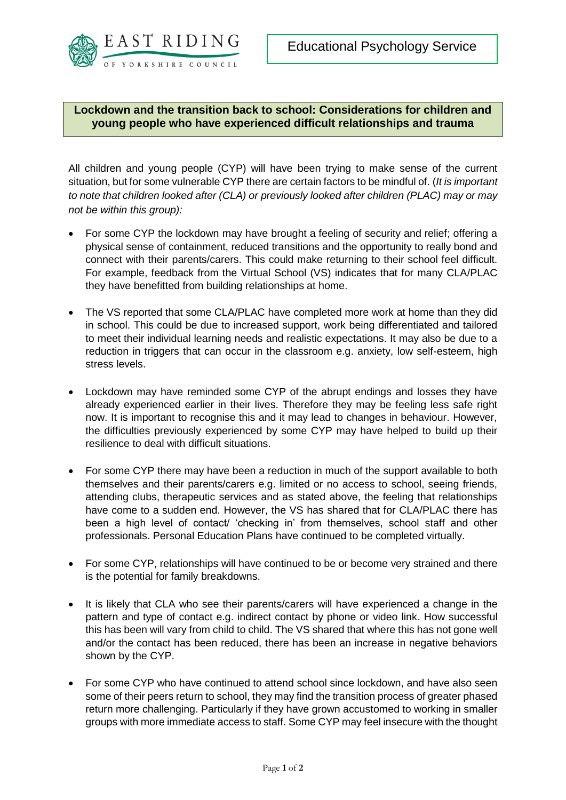

**Lockdown and the transition back to school: Considerations for children and young people who have experienced difficult relationships and trauma**

All children and young people (CYP) will have been trying to make sense of the current situation, but for some vulnerable CYP there are certain factors to be mindful of. (*It is important to note that children looked after (CLA) or previously looked after children (PLAC) may or may not be within this group):* 

- For some CYP the lockdown may have brought a feeling of security and relief; offering a physical sense of containment, reduced transitions and the opportunity to really bond and connect with their parents/carers. This could make returning to their school feel difficult. For example, feedback from the Virtual School (VS) indicates that for many CLA/PLAC they have benefitted from building relationships at home.
- The VS reported that some CLA/PLAC have completed more work at home than they did in school. This could be due to increased support, work being differentiated and tailored to meet their individual learning needs and realistic expectations. It may also be due to a reduction in triggers that can occur in the classroom e.g. anxiety, low self-esteem, high stress levels.
- Lockdown may have reminded some CYP of the abrupt endings and losses they have already experienced earlier in their lives. Therefore they may be feeling less safe right now. It is important to recognise this and it may lead to changes in behaviour. However, the difficulties previously experienced by some CYP may have helped to build up their resilience to deal with difficult situations.
- For some CYP there may have been a reduction in much of the support available to both themselves and their parents/carers e.g. limited or no access to school, seeing friends, attending clubs, therapeutic services and as stated above, the feeling that relationships have come to a sudden end. However, the VS has shared that for CLA/PLAC there has been a high level of contact/ 'checking in' from themselves, school staff and other professionals. Personal Education Plans have continued to be completed virtually.
- For some CYP, relationships will have continued to be or become very strained and there is the potential for family breakdowns.
- It is likely that CLA who see their parents/carers will have experienced a change in the pattern and type of contact e.g. indirect contact by phone or video link. How successful this has been will vary from child to child. The VS shared that where this has not gone well and/or the contact has been reduced, there has been an increase in negative behaviors shown by the CYP.
- For some CYP who have continued to attend school since lockdown, and have also seen some of their peers return to school, they may find the transition process of greater phased return more challenging. Particularly if they have grown accustomed to working in smaller groups with more immediate access to staff. Some CYP may feel insecure with the thought